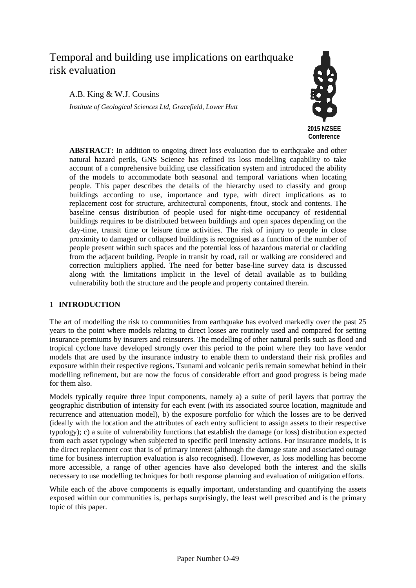# Temporal and building use implications on earthquake risk evaluation

# A.B. King & W.J. Cousins

*Institute of Geological Sciences Ltd, Gracefield, Lower Hutt*



**ABSTRACT:** In addition to ongoing direct loss evaluation due to earthquake and other natural hazard perils, GNS Science has refined its loss modelling capability to take account of a comprehensive building use classification system and introduced the ability of the models to accommodate both seasonal and temporal variations when locating people. This paper describes the details of the hierarchy used to classify and group buildings according to use, importance and type, with direct implications as to replacement cost for structure, architectural components, fitout, stock and contents. The baseline census distribution of people used for night-time occupancy of residential buildings requires to be distributed between buildings and open spaces depending on the day-time, transit time or leisure time activities. The risk of injury to people in close proximity to damaged or collapsed buildings is recognised as a function of the number of people present within such spaces and the potential loss of hazardous material or cladding from the adjacent building. People in transit by road, rail or walking are considered and correction multipliers applied. The need for better base-line survey data is discussed along with the limitations implicit in the level of detail available as to building vulnerability both the structure and the people and property contained therein.

# 1 **INTRODUCTION**

The art of modelling the risk to communities from earthquake has evolved markedly over the past 25 years to the point where models relating to direct losses are routinely used and compared for setting insurance premiums by insurers and reinsurers. The modelling of other natural perils such as flood and tropical cyclone have developed strongly over this period to the point where they too have vendor models that are used by the insurance industry to enable them to understand their risk profiles and exposure within their respective regions. Tsunami and volcanic perils remain somewhat behind in their modelling refinement, but are now the focus of considerable effort and good progress is being made for them also.

Models typically require three input components, namely a) a suite of peril layers that portray the geographic distribution of intensity for each event (with its associated source location, magnitude and recurrence and attenuation model), b) the exposure portfolio for which the losses are to be derived (ideally with the location and the attributes of each entry sufficient to assign assets to their respective typology); c) a suite of vulnerability functions that establish the damage (or loss) distribution expected from each asset typology when subjected to specific peril intensity actions. For insurance models, it is the direct replacement cost that is of primary interest (although the damage state and associated outage time for business interruption evaluation is also recognised). However, as loss modelling has become more accessible, a range of other agencies have also developed both the interest and the skills necessary to use modelling techniques for both response planning and evaluation of mitigation efforts.

While each of the above components is equally important, understanding and quantifying the assets exposed within our communities is, perhaps surprisingly, the least well prescribed and is the primary topic of this paper.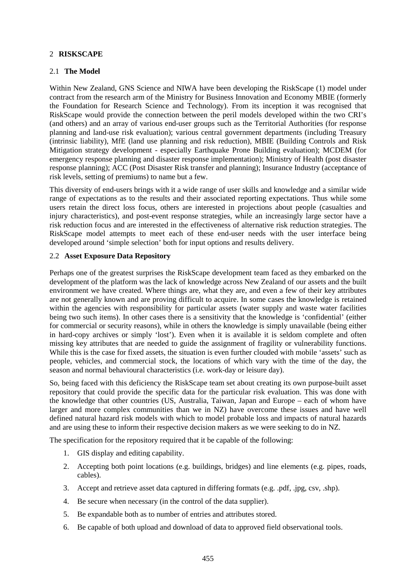# 2 **RISKSCAPE**

#### 2.1 **The Model**

Within New Zealand, GNS Science and NIWA have been developing the RiskScape (1) model under contract from the research arm of the Ministry for Business Innovation and Economy MBIE (formerly the Foundation for Research Science and Technology). From its inception it was recognised that RiskScape would provide the connection between the peril models developed within the two CRI's (and others) and an array of various end-user groups such as the Territorial Authorities (for response planning and land-use risk evaluation); various central government departments (including Treasury (intrinsic liability), MfE (land use planning and risk reduction), MBIE (Building Controls and Risk Mitigation strategy development - especially Earthquake Prone Building evaluation); MCDEM (for emergency response planning and disaster response implementation); Ministry of Health (post disaster response planning); ACC (Post Disaster Risk transfer and planning); Insurance Industry (acceptance of risk levels, setting of premiums) to name but a few.

This diversity of end-users brings with it a wide range of user skills and knowledge and a similar wide range of expectations as to the results and their associated reporting expectations. Thus while some users retain the direct loss focus, others are interested in projections about people (casualties and injury characteristics), and post-event response strategies, while an increasingly large sector have a risk reduction focus and are interested in the effectiveness of alternative risk reduction strategies. The RiskScape model attempts to meet each of these end-user needs with the user interface being developed around 'simple selection' both for input options and results delivery.

## 2.2 **Asset Exposure Data Repository**

Perhaps one of the greatest surprises the RiskScape development team faced as they embarked on the development of the platform was the lack of knowledge across New Zealand of our assets and the built environment we have created. Where things are, what they are, and even a few of their key attributes are not generally known and are proving difficult to acquire. In some cases the knowledge is retained within the agencies with responsibility for particular assets (water supply and waste water facilities being two such items). In other cases there is a sensitivity that the knowledge is 'confidential' (either for commercial or security reasons), while in others the knowledge is simply unavailable (being either in hard-copy archives or simply 'lost'). Even when it is available it is seldom complete and often missing key attributes that are needed to guide the assignment of fragility or vulnerability functions. While this is the case for fixed assets, the situation is even further clouded with mobile 'assets' such as people, vehicles, and commercial stock, the locations of which vary with the time of the day, the season and normal behavioural characteristics (i.e. work-day or leisure day).

So, being faced with this deficiency the RiskScape team set about creating its own purpose-built asset repository that could provide the specific data for the particular risk evaluation. This was done with the knowledge that other countries (US, Australia, Taiwan, Japan and Europe – each of whom have larger and more complex communities than we in NZ) have overcome these issues and have well defined natural hazard risk models with which to model probable loss and impacts of natural hazards and are using these to inform their respective decision makers as we were seeking to do in NZ.

The specification for the repository required that it be capable of the following:

- 1. GIS display and editing capability.
- 2. Accepting both point locations (e.g. buildings, bridges) and line elements (e.g. pipes, roads, cables).
- 3. Accept and retrieve asset data captured in differing formats (e.g. .pdf, .jpg, csv, .shp).
- 4. Be secure when necessary (in the control of the data supplier).
- 5. Be expandable both as to number of entries and attributes stored.
- 6. Be capable of both upload and download of data to approved field observational tools.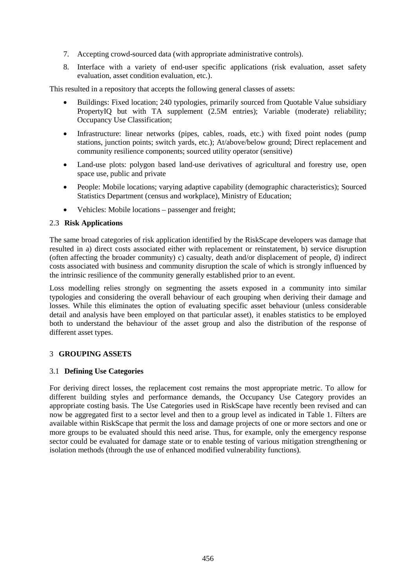- 7. Accepting crowd-sourced data (with appropriate administrative controls).
- 8. Interface with a variety of end-user specific applications (risk evaluation, asset safety evaluation, asset condition evaluation, etc.).

This resulted in a repository that accepts the following general classes of assets:

- Buildings: Fixed location; 240 typologies, primarily sourced from Quotable Value subsidiary PropertyIQ but with TA supplement (2.5M entries); Variable (moderate) reliability; Occupancy Use Classification;
- Infrastructure: linear networks (pipes, cables, roads, etc.) with fixed point nodes (pump stations, junction points; switch yards, etc.); At/above/below ground; Direct replacement and community resilience components; sourced utility operator (sensitive)
- Land-use plots: polygon based land-use derivatives of agricultural and forestry use, open space use, public and private
- People: Mobile locations; varying adaptive capability (demographic characteristics); Sourced Statistics Department (census and workplace), Ministry of Education;
- Vehicles: Mobile locations passenger and freight;

## 2.3 **Risk Applications**

The same broad categories of risk application identified by the RiskScape developers was damage that resulted in a) direct costs associated either with replacement or reinstatement, b) service disruption (often affecting the broader community) c) casualty, death and/or displacement of people, d) indirect costs associated with business and community disruption the scale of which is strongly influenced by the intrinsic resilience of the community generally established prior to an event.

Loss modelling relies strongly on segmenting the assets exposed in a community into similar typologies and considering the overall behaviour of each grouping when deriving their damage and losses. While this eliminates the option of evaluating specific asset behaviour (unless considerable detail and analysis have been employed on that particular asset), it enables statistics to be employed both to understand the behaviour of the asset group and also the distribution of the response of different asset types.

#### 3 **GROUPING ASSETS**

## 3.1 **Defining Use Categories**

For deriving direct losses, the replacement cost remains the most appropriate metric. To allow for different building styles and performance demands, the Occupancy Use Category provides an appropriate costing basis. The Use Categories used in RiskScape have recently been revised and can now be aggregated first to a sector level and then to a group level as indicated in Table 1. Filters are available within RiskScape that permit the loss and damage projects of one or more sectors and one or more groups to be evaluated should this need arise. Thus, for example, only the emergency response sector could be evaluated for damage state or to enable testing of various mitigation strengthening or isolation methods (through the use of enhanced modified vulnerability functions).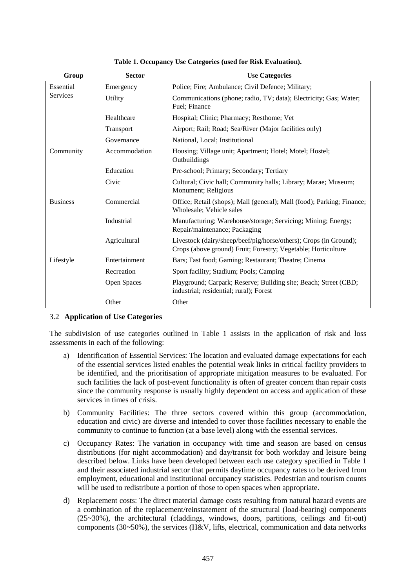| Group           | <b>Sector</b> | <b>Use Categories</b>                                                                                                              |  |  |
|-----------------|---------------|------------------------------------------------------------------------------------------------------------------------------------|--|--|
| Essential       | Emergency     | Police; Fire; Ambulance; Civil Defence; Military;                                                                                  |  |  |
| Services        | Utility       | Communications (phone; radio, TV; data); Electricity; Gas; Water;<br>Fuel; Finance                                                 |  |  |
|                 | Healthcare    | Hospital; Clinic; Pharmacy; Resthome; Vet                                                                                          |  |  |
|                 | Transport     | Airport; Rail; Road; Sea/River (Major facilities only)                                                                             |  |  |
|                 | Governance    | National, Local; Institutional                                                                                                     |  |  |
| Community       | Accommodation | Housing; Village unit; Apartment; Hotel; Motel; Hostel;<br>Outbuildings                                                            |  |  |
|                 | Education     | Pre-school; Primary; Secondary; Tertiary                                                                                           |  |  |
|                 | Civic         | Cultural; Civic hall; Community halls; Library; Marae; Museum;<br>Monument; Religious                                              |  |  |
| <b>Business</b> | Commercial    | Office; Retail (shops); Mall (general); Mall (food); Parking; Finance;<br>Wholesale; Vehicle sales                                 |  |  |
|                 | Industrial    | Manufacturing; Warehouse/storage; Servicing; Mining; Energy;<br>Repair/maintenance; Packaging                                      |  |  |
|                 | Agricultural  | Livestock (dairy/sheep/beef/pig/horse/others); Crops (in Ground);<br>Crops (above ground) Fruit; Forestry; Vegetable; Horticulture |  |  |
| Lifestyle       | Entertainment | Bars; Fast food; Gaming; Restaurant; Theatre; Cinema                                                                               |  |  |
|                 | Recreation    | Sport facility; Stadium; Pools; Camping                                                                                            |  |  |
|                 | Open Spaces   | Playground; Carpark; Reserve; Building site; Beach; Street (CBD;<br>industrial; residential; rural); Forest                        |  |  |
|                 | Other         | Other                                                                                                                              |  |  |

**Table 1. Occupancy Use Categories (used for Risk Evaluation).**

#### 3.2 **Application of Use Categories**

The subdivision of use categories outlined in Table 1 assists in the application of risk and loss assessments in each of the following:

- a) Identification of Essential Services: The location and evaluated damage expectations for each of the essential services listed enables the potential weak links in critical facility providers to be identified, and the prioritisation of appropriate mitigation measures to be evaluated. For such facilities the lack of post-event functionality is often of greater concern than repair costs since the community response is usually highly dependent on access and application of these services in times of crisis.
- b) Community Facilities: The three sectors covered within this group (accommodation, education and civic) are diverse and intended to cover those facilities necessary to enable the community to continue to function (at a base level) along with the essential services.
- c) Occupancy Rates: The variation in occupancy with time and season are based on census distributions (for night accommodation) and day/transit for both workday and leisure being described below. Links have been developed between each use category specified in Table 1 and their associated industrial sector that permits daytime occupancy rates to be derived from employment, educational and institutional occupancy statistics. Pedestrian and tourism counts will be used to redistribute a portion of those to open spaces when appropriate.
- d) Replacement costs: The direct material damage costs resulting from natural hazard events are a combination of the replacement/reinstatement of the structural (load-bearing) components (25~30%), the architectural (claddings, windows, doors, partitions, ceilings and fit-out) components (30~50%), the services (H&V, lifts, electrical, communication and data networks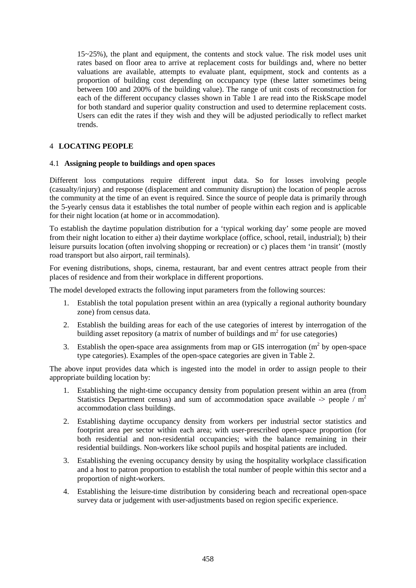15~25%), the plant and equipment, the contents and stock value. The risk model uses unit rates based on floor area to arrive at replacement costs for buildings and, where no better valuations are available, attempts to evaluate plant, equipment, stock and contents as a proportion of building cost depending on occupancy type (these latter sometimes being between 100 and 200% of the building value). The range of unit costs of reconstruction for each of the different occupancy classes shown in Table 1 are read into the RiskScape model for both standard and superior quality construction and used to determine replacement costs. Users can edit the rates if they wish and they will be adjusted periodically to reflect market trends.

# 4 **LOCATING PEOPLE**

#### 4.1 **Assigning people to buildings and open spaces**

Different loss computations require different input data. So for losses involving people (casualty/injury) and response (displacement and community disruption) the location of people across the community at the time of an event is required. Since the source of people data is primarily through the 5-yearly census data it establishes the total number of people within each region and is applicable for their night location (at home or in accommodation).

To establish the daytime population distribution for a 'typical working day' some people are moved from their night location to either a) their daytime workplace (office, school, retail, industrial); b) their leisure pursuits location (often involving shopping or recreation) or c) places them 'in transit' (mostly road transport but also airport, rail terminals).

For evening distributions, shops, cinema, restaurant, bar and event centres attract people from their places of residence and from their workplace in different proportions.

The model developed extracts the following input parameters from the following sources:

- 1. Establish the total population present within an area (typically a regional authority boundary zone) from census data.
- 2. Establish the building areas for each of the use categories of interest by interrogation of the building asset repository (a matrix of number of buildings and  $m<sup>2</sup>$  for use categories)
- 3. Establish the open-space area assignments from map or GIS interrogation  $(m<sup>2</sup>$  by open-space type categories). Examples of the open-space categories are given in Table 2.

The above input provides data which is ingested into the model in order to assign people to their appropriate building location by:

- 1. Establishing the night-time occupancy density from population present within an area (from Statistics Department census) and sum of accommodation space available  $\rightarrow$  people / m<sup>2</sup> accommodation class buildings.
- 2. Establishing daytime occupancy density from workers per industrial sector statistics and footprint area per sector within each area; with user-prescribed open-space proportion (for both residential and non-residential occupancies; with the balance remaining in their residential buildings. Non-workers like school pupils and hospital patients are included.
- 3. Establishing the evening occupancy density by using the hospitality workplace classification and a host to patron proportion to establish the total number of people within this sector and a proportion of night-workers.
- 4. Establishing the leisure-time distribution by considering beach and recreational open-space survey data or judgement with user-adjustments based on region specific experience.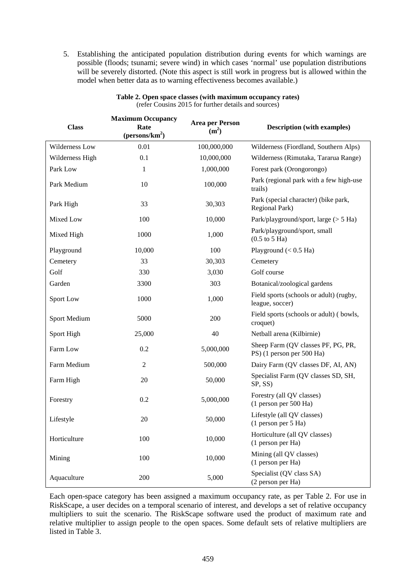5. Establishing the anticipated population distribution during events for which warnings are possible (floods; tsunami; severe wind) in which cases 'normal' use population distributions will be severely distorted. (Note this aspect is still work in progress but is allowed within the model when better data as to warning effectiveness becomes available.)

| <b>Class</b>        | <b>Maximum Occupancy</b><br>Rate<br>$(\text{persons}/\text{km}^2)$ | <b>Area per Person</b><br>(m <sup>2</sup> ) | <b>Description</b> (with examples)                              |  |  |
|---------------------|--------------------------------------------------------------------|---------------------------------------------|-----------------------------------------------------------------|--|--|
| Wilderness Low      | 0.01                                                               | 100,000,000                                 | Wilderness (Fiordland, Southern Alps)                           |  |  |
| Wilderness High     | 0.1                                                                | 10,000,000                                  | Wilderness (Rimutaka, Tararua Range)                            |  |  |
| Park Low            | 1                                                                  | 1,000,000                                   | Forest park (Orongorongo)                                       |  |  |
| Park Medium         | 10                                                                 | 100,000                                     | Park (regional park with a few high-use<br>trails)              |  |  |
| Park High           | 33                                                                 | 30,303                                      | Park (special character) (bike park,<br>Regional Park)          |  |  |
| Mixed Low           | 100                                                                | 10,000                                      | Park/playground/sport, large (> 5 Ha)                           |  |  |
| Mixed High          | 1000                                                               | 1,000                                       | Park/playground/sport, small<br>$(0.5$ to $5$ Ha)               |  |  |
| Playground          | 10,000                                                             | 100                                         | Playground $(< 0.5$ Ha)                                         |  |  |
| Cemetery            | 33                                                                 | 30,303                                      | Cemetery                                                        |  |  |
| Golf                | 330                                                                | 3,030                                       | Golf course                                                     |  |  |
| Garden              | 3300                                                               | 303                                         | Botanical/zoological gardens                                    |  |  |
| Sport Low           | 1000                                                               | 1,000                                       | Field sports (schools or adult) (rugby,<br>league, soccer)      |  |  |
| <b>Sport Medium</b> | 5000                                                               | 200                                         | Field sports (schools or adult) (bowls,<br>croquet)             |  |  |
| Sport High          | 25,000                                                             | 40                                          | Netball arena (Kilbirnie)                                       |  |  |
| Farm Low            | 0.2                                                                | 5,000,000                                   | Sheep Farm (QV classes PF, PG, PR,<br>PS) (1 person per 500 Ha) |  |  |
| Farm Medium         | $\overline{2}$                                                     | 500,000                                     | Dairy Farm (QV classes DF, AI, AN)                              |  |  |
| Farm High           | 20                                                                 | 50,000                                      | Specialist Farm (QV classes SD, SH,<br>SP, SS)                  |  |  |
| Forestry            | 0.2                                                                | 5,000,000                                   | Forestry (all QV classes)<br>(1 person per 500 Ha)              |  |  |
| Lifestyle           | 20                                                                 | 50,000                                      | Lifestyle (all QV classes)<br>(1 person per 5 Ha)               |  |  |
| Horticulture        | 100                                                                | 10,000                                      | Horticulture (all QV classes)<br>(1 person per Ha)              |  |  |
| Mining              | 100                                                                | 10,000                                      | Mining (all QV classes)<br>(1 person per Ha)                    |  |  |
| Aquaculture         | 200                                                                | 5,000                                       | Specialist (QV class SA)<br>(2 person per Ha)                   |  |  |

**Table 2. Open space classes (with maximum occupancy rates)** (refer Cousins 2015 for further details and sources)

Each open-space category has been assigned a maximum occupancy rate, as per Table 2. For use in RiskScape, a user decides on a temporal scenario of interest, and develops a set of relative occupancy multipliers to suit the scenario. The RiskScape software used the product of maximum rate and relative multiplier to assign people to the open spaces. Some default sets of relative multipliers are listed in Table 3.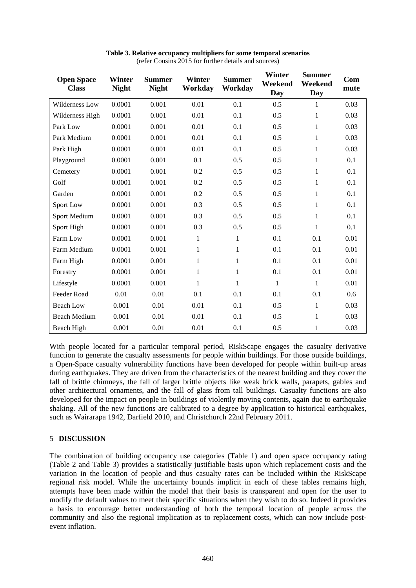| <b>Open Space</b><br><b>Class</b> | Winter<br><b>Night</b> | <b>Summer</b><br><b>Night</b> | Winter<br>Workday | <b>Summer</b><br>Workday | <b>Winter</b><br>Weekend<br>Day | <b>Summer</b><br>Weekend<br>Day | Com<br>mute |
|-----------------------------------|------------------------|-------------------------------|-------------------|--------------------------|---------------------------------|---------------------------------|-------------|
| Wilderness Low                    | 0.0001                 | 0.001                         | 0.01              | 0.1                      | 0.5                             | 1                               | 0.03        |
| Wilderness High                   | 0.0001                 | 0.001                         | 0.01              | 0.1                      | 0.5                             | 1                               | 0.03        |
| Park Low                          | 0.0001                 | 0.001                         | 0.01              | 0.1                      | 0.5                             | $\mathbf{1}$                    | 0.03        |
| Park Medium                       | 0.0001                 | 0.001                         | 0.01              | 0.1                      | 0.5                             | 1                               | 0.03        |
| Park High                         | 0.0001                 | 0.001                         | 0.01              | 0.1                      | 0.5                             | 1                               | 0.03        |
| Playground                        | 0.0001                 | 0.001                         | 0.1               | 0.5                      | 0.5                             | 1                               | 0.1         |
| Cemetery                          | 0.0001                 | 0.001                         | 0.2               | 0.5                      | 0.5                             | 1                               | 0.1         |
| Golf                              | 0.0001                 | 0.001                         | 0.2               | 0.5                      | 0.5                             | 1                               | 0.1         |
| Garden                            | 0.0001                 | 0.001                         | 0.2               | 0.5                      | 0.5                             | 1                               | 0.1         |
| Sport Low                         | 0.0001                 | 0.001                         | 0.3               | 0.5                      | 0.5                             | 1                               | 0.1         |
| Sport Medium                      | 0.0001                 | 0.001                         | 0.3               | 0.5                      | 0.5                             | 1                               | 0.1         |
| Sport High                        | 0.0001                 | 0.001                         | 0.3               | 0.5                      | 0.5                             | 1                               | 0.1         |
| Farm Low                          | 0.0001                 | 0.001                         | $\mathbf{1}$      | $\mathbf{1}$             | 0.1                             | 0.1                             | 0.01        |
| Farm Medium                       | 0.0001                 | 0.001                         | $\mathbf{1}$      | $\mathbf{1}$             | 0.1                             | 0.1                             | 0.01        |
| Farm High                         | 0.0001                 | 0.001                         | $\mathbf{1}$      | $\mathbf{1}$             | 0.1                             | 0.1                             | 0.01        |
| Forestry                          | 0.0001                 | 0.001                         | 1                 | $\mathbf{1}$             | 0.1                             | 0.1                             | 0.01        |
| Lifestyle                         | 0.0001                 | 0.001                         | 1                 | $\mathbf{1}$             | $\mathbf{1}$                    | 1                               | 0.01        |
| Feeder Road                       | 0.01                   | 0.01                          | 0.1               | 0.1                      | 0.1                             | 0.1                             | 0.6         |
| <b>Beach Low</b>                  | 0.001                  | 0.01                          | 0.01              | 0.1                      | 0.5                             | 1                               | 0.03        |
| <b>Beach Medium</b>               | 0.001                  | 0.01                          | 0.01              | 0.1                      | 0.5                             | 1                               | 0.03        |
| <b>Beach High</b>                 | 0.001                  | 0.01                          | 0.01              | 0.1                      | 0.5                             | $\mathbf{1}$                    | 0.03        |

| Table 3. Relative occupancy multipliers for some temporal scenarios |  |
|---------------------------------------------------------------------|--|
| (refer Cousins 2015 for further details and sources)                |  |

With people located for a particular temporal period, RiskScape engages the casualty derivative function to generate the casualty assessments for people within buildings. For those outside buildings, a Open-Space casualty vulnerability functions have been developed for people within built-up areas during earthquakes. They are driven from the characteristics of the nearest building and they cover the fall of brittle chimneys, the fall of larger brittle objects like weak brick walls, parapets, gables and other architectural ornaments, and the fall of glass from tall buildings. Casualty functions are also developed for the impact on people in buildings of violently moving contents, again due to earthquake shaking. All of the new functions are calibrated to a degree by application to historical earthquakes, such as Wairarapa 1942, Darfield 2010, and Christchurch 22nd February 2011.

#### 5 **DISCUSSION**

The combination of building occupancy use categories (Table 1) and open space occupancy rating (Table 2 and Table 3) provides a statistically justifiable basis upon which replacement costs and the variation in the location of people and thus casualty rates can be included within the RiskScape regional risk model. While the uncertainty bounds implicit in each of these tables remains high, attempts have been made within the model that their basis is transparent and open for the user to modify the default values to meet their specific situations when they wish to do so. Indeed it provides a basis to encourage better understanding of both the temporal location of people across the community and also the regional implication as to replacement costs, which can now include postevent inflation.